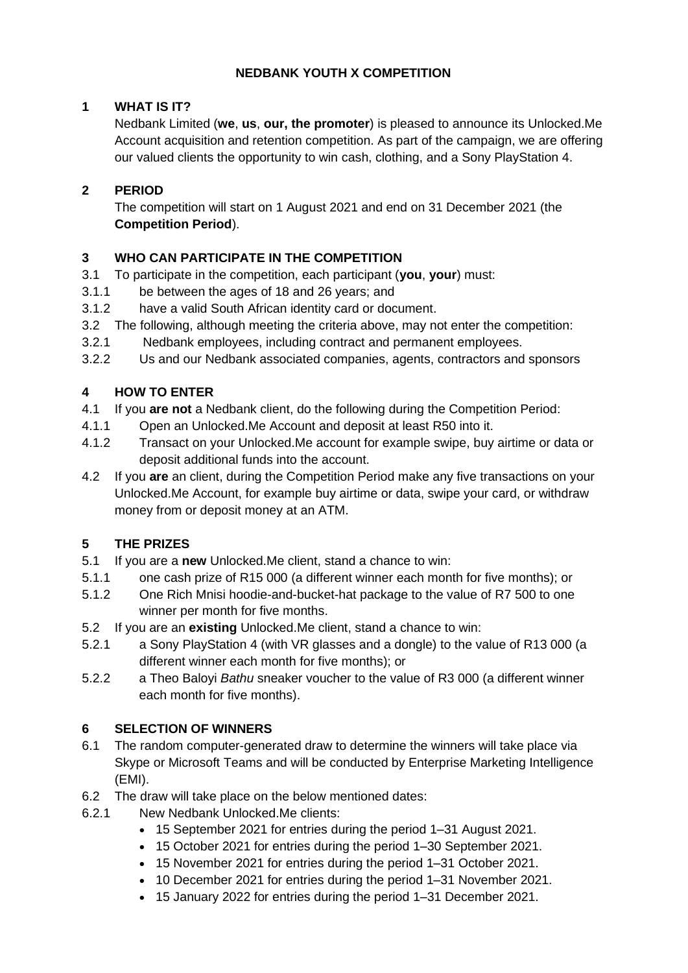# **NEDBANK YOUTH X COMPETITION**

# **1 WHAT IS IT?**

Nedbank Limited (**we**, **us**, **our, the promoter**) is pleased to announce its Unlocked.Me Account acquisition and retention competition. As part of the campaign, we are offering our valued clients the opportunity to win cash, clothing, and a Sony PlayStation 4.

# **2 PERIOD**

The competition will start on 1 August 2021 and end on 31 December 2021 (the **Competition Period**).

### **3 WHO CAN PARTICIPATE IN THE COMPETITION**

- 3.1 To participate in the competition, each participant (**you**, **your**) must:
- 3.1.1 be between the ages of 18 and 26 years; and
- 3.1.2 have a valid South African identity card or document.
- 3.2 The following, although meeting the criteria above, may not enter the competition:
- 3.2.1 Nedbank employees, including contract and permanent employees.
- 3.2.2 Us and our Nedbank associated companies, agents, contractors and sponsors

### **4 HOW TO ENTER**

- 4.1 If you **are not** a Nedbank client, do the following during the Competition Period:
- 4.1.1 Open an Unlocked.Me Account and deposit at least R50 into it.
- 4.1.2 Transact on your Unlocked.Me account for example swipe, buy airtime or data or deposit additional funds into the account.
- 4.2 If you **are** an client, during the Competition Period make any five transactions on your Unlocked.Me Account, for example buy airtime or data, swipe your card, or withdraw money from or deposit money at an ATM.

# **5 THE PRIZES**

- 5.1 If you are a **new** Unlocked.Me client, stand a chance to win:
- 5.1.1 one cash prize of R15 000 (a different winner each month for five months); or
- 5.1.2 One Rich Mnisi hoodie-and-bucket-hat package to the value of R7 500 to one winner per month for five months.
- 5.2 If you are an **existing** Unlocked.Me client, stand a chance to win:
- 5.2.1 a Sony PlayStation 4 (with VR glasses and a dongle) to the value of R13 000 (a different winner each month for five months); or
- 5.2.2 a Theo Baloyi *Bathu* sneaker voucher to the value of R3 000 (a different winner each month for five months).

# **6 SELECTION OF WINNERS**

- 6.1 The random computer-generated draw to determine the winners will take place via Skype or Microsoft Teams and will be conducted by Enterprise Marketing Intelligence (EMI).
- 6.2 The draw will take place on the below mentioned dates:
- 6.2.1 New Nedbank Unlocked.Me clients:
	- 15 September 2021 for entries during the period 1–31 August 2021.
	- 15 October 2021 for entries during the period 1–30 September 2021.
	- 15 November 2021 for entries during the period 1–31 October 2021.
	- 10 December 2021 for entries during the period 1–31 November 2021.
	- 15 January 2022 for entries during the period 1–31 December 2021.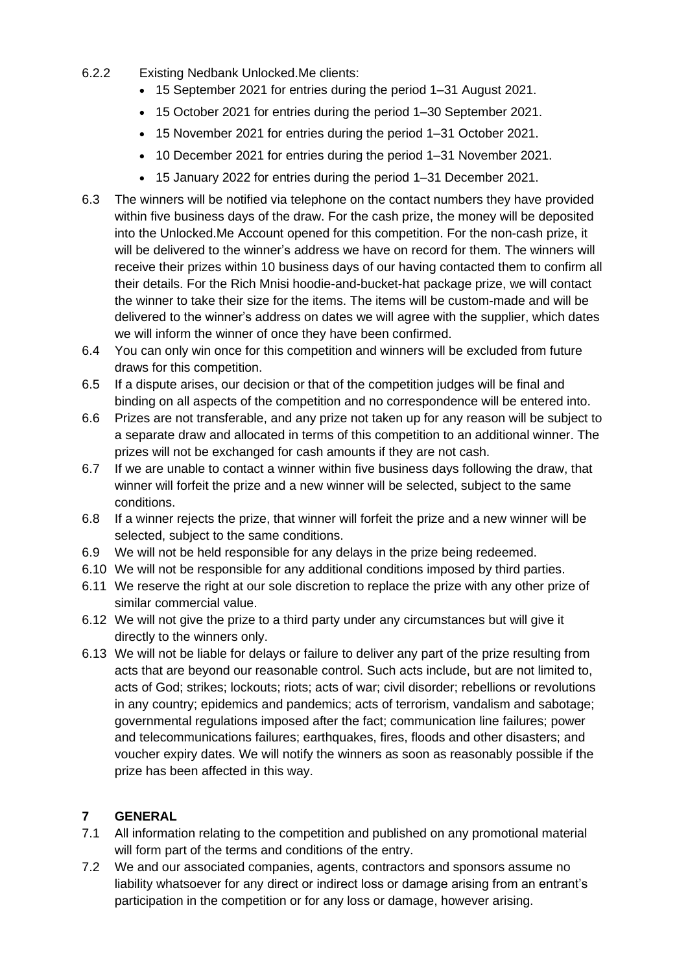- 6.2.2 Existing Nedbank Unlocked.Me clients:
	- 15 September 2021 for entries during the period 1–31 August 2021.
	- 15 October 2021 for entries during the period 1–30 September 2021.
	- 15 November 2021 for entries during the period 1–31 October 2021.
	- 10 December 2021 for entries during the period 1–31 November 2021.
	- 15 January 2022 for entries during the period 1–31 December 2021.
- 6.3 The winners will be notified via telephone on the contact numbers they have provided within five business days of the draw. For the cash prize, the money will be deposited into the Unlocked.Me Account opened for this competition. For the non-cash prize, it will be delivered to the winner's address we have on record for them. The winners will receive their prizes within 10 business days of our having contacted them to confirm all their details. For the Rich Mnisi hoodie-and-bucket-hat package prize, we will contact the winner to take their size for the items. The items will be custom-made and will be delivered to the winner's address on dates we will agree with the supplier, which dates we will inform the winner of once they have been confirmed.
- 6.4 You can only win once for this competition and winners will be excluded from future draws for this competition.
- 6.5 If a dispute arises, our decision or that of the competition judges will be final and binding on all aspects of the competition and no correspondence will be entered into.
- 6.6 Prizes are not transferable, and any prize not taken up for any reason will be subject to a separate draw and allocated in terms of this competition to an additional winner. The prizes will not be exchanged for cash amounts if they are not cash.
- 6.7 If we are unable to contact a winner within five business days following the draw, that winner will forfeit the prize and a new winner will be selected, subject to the same conditions.
- 6.8 If a winner rejects the prize, that winner will forfeit the prize and a new winner will be selected, subject to the same conditions.
- 6.9 We will not be held responsible for any delays in the prize being redeemed.
- 6.10 We will not be responsible for any additional conditions imposed by third parties.
- 6.11 We reserve the right at our sole discretion to replace the prize with any other prize of similar commercial value.
- 6.12 We will not give the prize to a third party under any circumstances but will give it directly to the winners only.
- 6.13 We will not be liable for delays or failure to deliver any part of the prize resulting from acts that are beyond our reasonable control. Such acts include, but are not limited to, acts of God; strikes; lockouts; riots; acts of war; civil disorder; rebellions or revolutions in any country; epidemics and pandemics; acts of terrorism, vandalism and sabotage; governmental regulations imposed after the fact; communication line failures; power and telecommunications failures; earthquakes, fires, floods and other disasters; and voucher expiry dates. We will notify the winners as soon as reasonably possible if the prize has been affected in this way.

#### **7 GENERAL**

- 7.1 All information relating to the competition and published on any promotional material will form part of the terms and conditions of the entry.
- 7.2 We and our associated companies, agents, contractors and sponsors assume no liability whatsoever for any direct or indirect loss or damage arising from an entrant's participation in the competition or for any loss or damage, however arising.